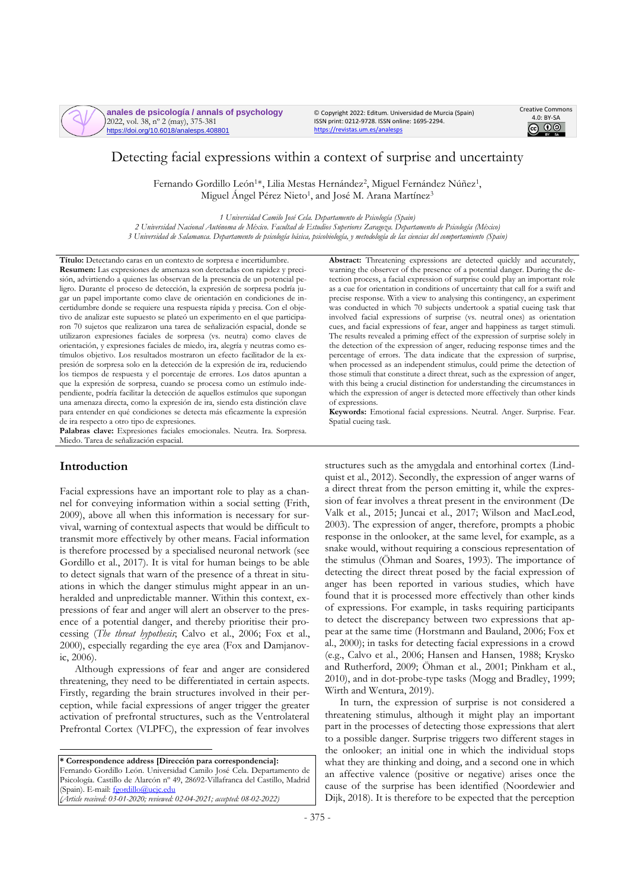

**anales de psicología / annals of psychology** 2022, vol. 38, nº 2 (may), 375-381 https://doi.org/10.6018/analesps.408801

© Copyright 2022: Editum. Universidad de Murcia (Spain) ISSN print: 0212-9728. ISSN online: 1695-2294. <https://revistas.um.es/analesps>



# Detecting facial expressions within a context of surprise and uncertainty

Fernando Gordillo León<sup>1\*</sup>, Lilia Mestas Hernández<sup>2</sup>, Miguel Fernández Núñez<sup>1</sup>, Miguel Ángel Pérez Nieto<sup>1</sup>, and José M. Arana Martínez<sup>3</sup>

*1 Universidad Camilo José Cela. Departamento de Psicología (Spain)*

*2 Universidad Nacional Autónoma de México. Facultad de Estudios Superiores Zaragoza. Departamento de Psicología (México) 3 Universidad de Salamanca. Departamento de psicología básica, psicobiología, y metodología de las ciencias del comportamiento (Spain)*

**Título:** Detectando caras en un contexto de sorpresa e incertidumbre. **Resumen:** Las expresiones de amenaza son detectadas con rapidez y precisión, advirtiendo a quienes las observan de la presencia de un potencial peligro. Durante el proceso de detección, la expresión de sorpresa podría jugar un papel importante como clave de orientación en condiciones de incertidumbre donde se requiere una respuesta rápida y precisa. Con el objetivo de analizar este supuesto se plateó un experimento en el que participaron 70 sujetos que realizaron una tarea de señalización espacial, donde se utilizaron expresiones faciales de sorpresa (vs. neutra) como claves de orientación, y expresiones faciales de miedo, ira, alegría y neutras como estímulos objetivo. Los resultados mostraron un efecto facilitador de la expresión de sorpresa solo en la detección de la expresión de ira, reduciendo los tiempos de respuesta y el porcentaje de errores. Los datos apuntan a que la expresión de sorpresa, cuando se procesa como un estímulo independiente, podría facilitar la detección de aquellos estímulos que supongan una amenaza directa, como la expresión de ira, siendo esta distinción clave para entender en qué condiciones se detecta más eficazmente la expresión de ira respecto a otro tipo de expresiones.

**Palabras clave:** Expresiones faciales emocionales. Neutra. Ira. Sorpresa. Miedo. Tarea de señalización espacial.

# **Introduction**

Facial expressions have an important role to play as a channel for conveying information within a social setting (Frith, 2009), above all when this information is necessary for survival, warning of contextual aspects that would be difficult to transmit more effectively by other means. Facial information is therefore processed by a specialised neuronal network (see Gordillo et al., 2017). It is vital for human beings to be able to detect signals that warn of the presence of a threat in situations in which the danger stimulus might appear in an unheralded and unpredictable manner. Within this context, expressions of fear and anger will alert an observer to the presence of a potential danger, and thereby prioritise their processing (*The threat hypothesis*; Calvo et al., 2006; Fox et al., 2000), especially regarding the eye area (Fox and Damjanovic, 2006).

Although expressions of fear and anger are considered threatening, they need to be differentiated in certain aspects. Firstly, regarding the brain structures involved in their perception, while facial expressions of anger trigger the greater activation of prefrontal structures, such as the Ventrolateral Prefrontal Cortex (VLPFC), the expression of fear involves

**\* Correspondence address [Dirección para correspondencia]:** Fernando Gordillo León. Universidad Camilo José Cela. Departamento de Psicología. Castillo de Alarcón nº 49, 28692-Villafranca del Castillo, Madrid (Spain). E-mail: foordillo@ucic.edu *(Article received: 03-01-2020; reviewed: 02-04-2021; accepted: 08-02-2022)*

**Abstract:** Threatening expressions are detected quickly and accurately, warning the observer of the presence of a potential danger. During the detection process, a facial expression of surprise could play an important role as a cue for orientation in conditions of uncertainty that call for a swift and precise response. With a view to analysing this contingency, an experiment was conducted in which 70 subjects undertook a spatial cueing task that involved facial expressions of surprise (vs. neutral ones) as orientation cues, and facial expressions of fear, anger and happiness as target stimuli. The results revealed a priming effect of the expression of surprise solely in the detection of the expression of anger, reducing response times and the percentage of errors. The data indicate that the expression of surprise, when processed as an independent stimulus, could prime the detection of those stimuli that constitute a direct threat, such as the expression of anger, with this being a crucial distinction for understanding the circumstances in which the expression of anger is detected more effectively than other kinds of expressions.

**Keywords:** Emotional facial expressions. Neutral. Anger. Surprise. Fear. Spatial cueing task.

structures such as the amygdala and entorhinal cortex (Lindquist et al., 2012). Secondly, the expression of anger warns of a direct threat from the person emitting it, while the expression of fear involves a threat present in the environment (De Valk et al., 2015; Juncai et al., 2017; Wilson and MacLeod, 2003). The expression of anger, therefore, prompts a phobic response in the onlooker, at the same level, for example, as a snake would, without requiring a conscious representation of the stimulus (Öhman and Soares, 1993). The importance of detecting the direct threat posed by the facial expression of anger has been reported in various studies, which have found that it is processed more effectively than other kinds of expressions. For example, in tasks requiring participants to detect the discrepancy between two expressions that appear at the same time (Horstmann and Bauland, 2006; Fox et al., 2000); in tasks for detecting facial expressions in a crowd (e.g., Calvo et al., 2006; Hansen and Hansen, 1988; Krysko and Rutherford, 2009; Öhman et al., 2001; Pinkham et al., 2010), and in dot-probe-type tasks (Mogg and Bradley, 1999; Wirth and Wentura, 2019).

In turn, the expression of surprise is not considered a threatening stimulus, although it might play an important part in the processes of detecting those expressions that alert to a possible danger. Surprise triggers two different stages in the onlooker; an initial one in which the individual stops what they are thinking and doing, and a second one in which an affective valence (positive or negative) arises once the cause of the surprise has been identified (Noordewier and Dijk, 2018). It is therefore to be expected that the perception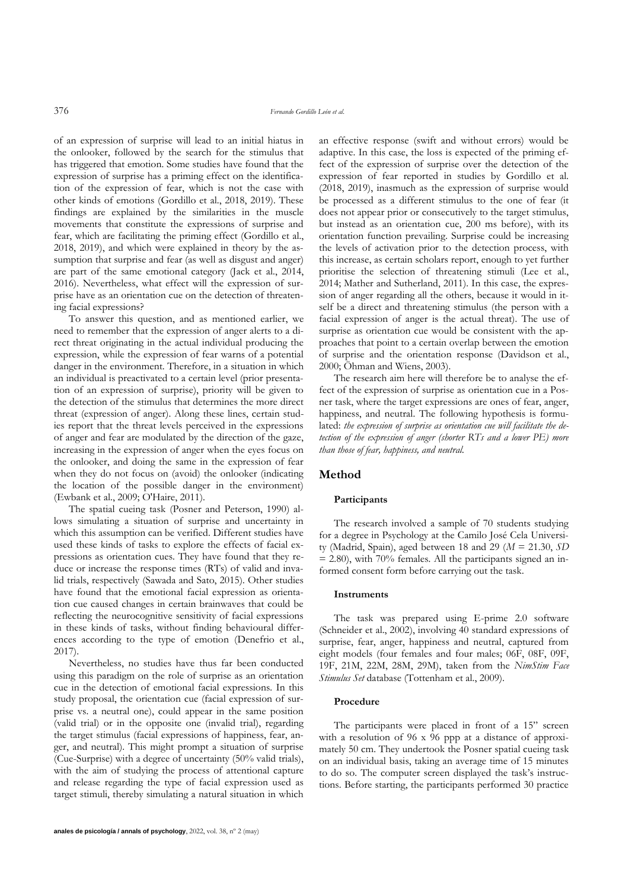of an expression of surprise will lead to an initial hiatus in the onlooker, followed by the search for the stimulus that has triggered that emotion. Some studies have found that the expression of surprise has a priming effect on the identification of the expression of fear, which is not the case with other kinds of emotions (Gordillo et al., 2018, 2019). These findings are explained by the similarities in the muscle movements that constitute the expressions of surprise and fear, which are facilitating the priming effect (Gordillo et al., 2018, 2019), and which were explained in theory by the assumption that surprise and fear (as well as disgust and anger) are part of the same emotional category (Jack et al., 2014, 2016). Nevertheless, what effect will the expression of surprise have as an orientation cue on the detection of threatening facial expressions?

To answer this question, and as mentioned earlier, we need to remember that the expression of anger alerts to a direct threat originating in the actual individual producing the expression, while the expression of fear warns of a potential danger in the environment. Therefore, in a situation in which an individual is preactivated to a certain level (prior presentation of an expression of surprise), priority will be given to the detection of the stimulus that determines the more direct threat (expression of anger). Along these lines, certain studies report that the threat levels perceived in the expressions of anger and fear are modulated by the direction of the gaze, increasing in the expression of anger when the eyes focus on the onlooker, and doing the same in the expression of fear when they do not focus on (avoid) the onlooker (indicating the location of the possible danger in the environment) (Ewbank et al., 2009; O'Haire, 2011).

The spatial cueing task (Posner and Peterson, 1990) allows simulating a situation of surprise and uncertainty in which this assumption can be verified. Different studies have used these kinds of tasks to explore the effects of facial expressions as orientation cues. They have found that they reduce or increase the response times (RTs) of valid and invalid trials, respectively (Sawada and Sato, 2015). Other studies have found that the emotional facial expression as orientation cue caused changes in certain brainwaves that could be reflecting the neurocognitive sensitivity of facial expressions in these kinds of tasks, without finding behavioural differences according to the type of emotion (Denefrio et al., 2017).

Nevertheless, no studies have thus far been conducted using this paradigm on the role of surprise as an orientation cue in the detection of emotional facial expressions. In this study proposal, the orientation cue (facial expression of surprise vs. a neutral one), could appear in the same position (valid trial) or in the opposite one (invalid trial), regarding the target stimulus (facial expressions of happiness, fear, anger, and neutral). This might prompt a situation of surprise (Cue-Surprise) with a degree of uncertainty (50% valid trials), with the aim of studying the process of attentional capture and release regarding the type of facial expression used as target stimuli, thereby simulating a natural situation in which an effective response (swift and without errors) would be adaptive. In this case, the loss is expected of the priming effect of the expression of surprise over the detection of the expression of fear reported in studies by Gordillo et al. (2018, 2019), inasmuch as the expression of surprise would be processed as a different stimulus to the one of fear (it does not appear prior or consecutively to the target stimulus, but instead as an orientation cue, 200 ms before), with its orientation function prevailing. Surprise could be increasing the levels of activation prior to the detection process, with this increase, as certain scholars report, enough to yet further prioritise the selection of threatening stimuli (Lee et al., 2014; Mather and Sutherland, 2011). In this case, the expression of anger regarding all the others, because it would in itself be a direct and threatening stimulus (the person with a facial expression of anger is the actual threat). The use of surprise as orientation cue would be consistent with the approaches that point to a certain overlap between the emotion of surprise and the orientation response (Davidson et al., 2000; Öhman and Wiens, 2003).

The research aim here will therefore be to analyse the effect of the expression of surprise as orientation cue in a Posner task, where the target expressions are ones of fear, anger, happiness, and neutral. The following hypothesis is formulated: *the expression of surprise as orientation cue will facilitate the detection of the expression of anger (shorter RTs and a lower PE) more than those of fear, happiness, and neutral.*

# **Method**

#### **Participants**

The research involved a sample of 70 students studying for a degree in Psychology at the Camilo José Cela University (Madrid, Spain), aged between 18 and 29 (*M* = 21.30, *SD*  $= 2.80$ ), with 70% females. All the participants signed an informed consent form before carrying out the task.

#### **Instruments**

The task was prepared using E-prime 2.0 software (Schneider et al., 2002), involving 40 standard expressions of surprise, fear, anger, happiness and neutral, captured from eight models (four females and four males; 06F, 08F, 09F, 19F, 21M, 22M, 28M, 29M), taken from the *NimStim Face Stimulus Set* database (Tottenham et al., 2009).

## **Procedure**

The participants were placed in front of a 15" screen with a resolution of 96 x 96 ppp at a distance of approximately 50 cm. They undertook the Posner spatial cueing task on an individual basis, taking an average time of 15 minutes to do so. The computer screen displayed the task's instructions. Before starting, the participants performed 30 practice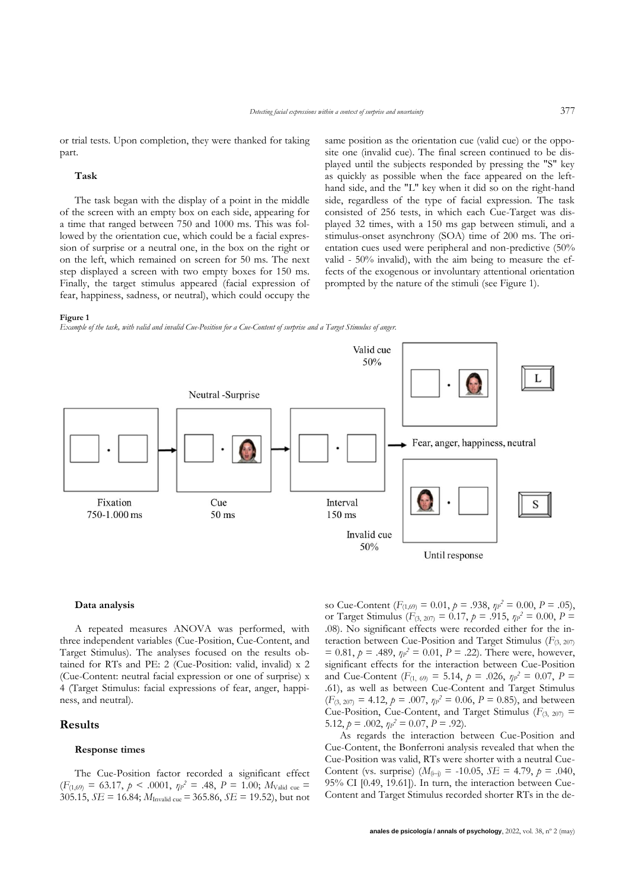or trial tests. Upon completion, they were thanked for taking part.

#### **Task**

The task began with the display of a point in the middle of the screen with an empty box on each side, appearing for a time that ranged between 750 and 1000 ms. This was followed by the orientation cue, which could be a facial expression of surprise or a neutral one, in the box on the right or on the left, which remained on screen for 50 ms. The next step displayed a screen with two empty boxes for 150 ms. Finally, the target stimulus appeared (facial expression of fear, happiness, sadness, or neutral), which could occupy the same position as the orientation cue (valid cue) or the opposite one (invalid cue). The final screen continued to be displayed until the subjects responded by pressing the "S" key as quickly as possible when the face appeared on the lefthand side, and the "L" key when it did so on the right-hand side, regardless of the type of facial expression. The task consisted of 256 tests, in which each Cue-Target was displayed 32 times, with a 150 ms gap between stimuli, and a stimulus-onset asynchrony (SOA) time of 200 ms. The orientation cues used were peripheral and non-predictive (50% valid - 50% invalid), with the aim being to measure the effects of the exogenous or involuntary attentional orientation prompted by the nature of the stimuli (see Figure 1).

#### **Figure 1**

*Example of the task, with valid and invalid Cue-Position for a Cue-Content of surprise and a Target Stimulus of anger.*



### **Data analysis**

A repeated measures ANOVA was performed, with three independent variables (Cue-Position, Cue-Content, and Target Stimulus). The analyses focused on the results obtained for RTs and PE: 2 (Cue-Position: valid, invalid) x 2 (Cue-Content: neutral facial expression or one of surprise) x 4 (Target Stimulus: facial expressions of fear, anger, happiness, and neutral).

# **Results**

### **Response times**

The Cue-Position factor recorded a significant effect  $(F_{(1,69)} = 63.17, p \le .0001, \eta p^2 = .48, P = 1.00; M_{\text{Valid cue}} =$ 305.15, *SE* = 16.84; *M*Invalid cue =365.86, *SE* = 19.52), but not

so Cue-Content ( $F_{(1,69)} = 0.01$ ,  $p = .938$ ,  $\eta p^2 = 0.00$ ,  $P = .05$ ), or Target Stimulus ( $F_{(3, 207)} = 0.17$ ,  $p = .915$ ,  $\eta p^2 = 0.00$ ,  $P =$ .08). No significant effects were recorded either for the interaction between Cue-Position and Target Stimulus (*F*(3, 207)  $= 0.81, p = .489, \eta p^2 = 0.01, P = .22$ . There were, however, significant effects for the interaction between Cue-Position and Cue-Content ( $F_{(1, 69)} = 5.14$ ,  $p = .026$ ,  $\eta p^2 = 0.07$ ,  $P =$ .61), as well as between Cue-Content and Target Stimulus  $(F_{(3, 207)} = 4.12, p = .007, \eta p^2 = 0.06, P = 0.85)$ , and between Cue-Position, Cue-Content, and Target Stimulus ( $F_{(3, 207)}$  = 5.12,  $p = .002$ ,  $\eta p^2 = 0.07$ ,  $P = .92$ ).

As regards the interaction between Cue-Position and Cue-Content, the Bonferroni analysis revealed that when the Cue-Position was valid, RTs were shorter with a neutral Cue-Content (vs. surprise)  $(M_{(i-j)} = -10.05, SE = 4.79, p = .040,$ 95% CI [0.49, 19.61]). In turn, the interaction between Cue-Content and Target Stimulus recorded shorter RTs in the de-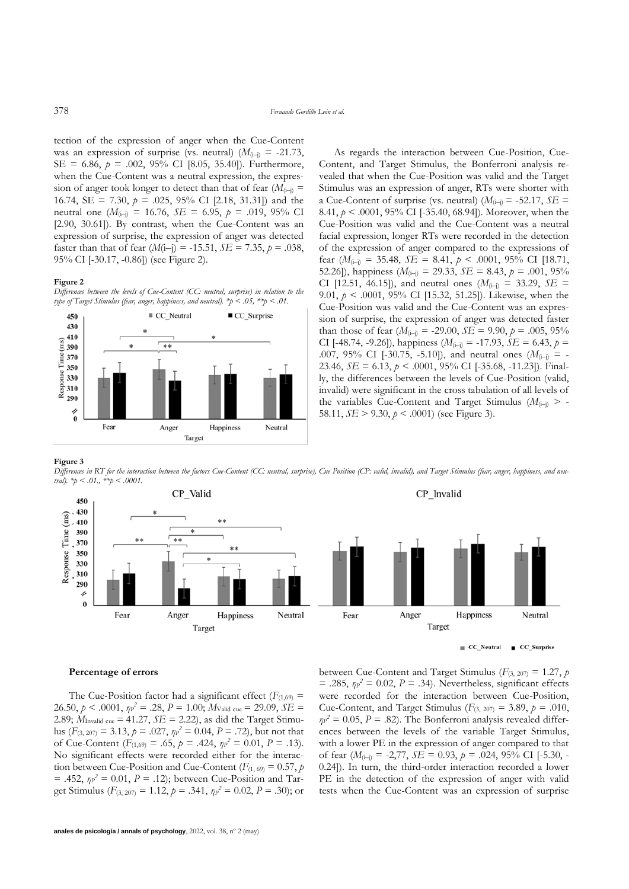tection of the expression of anger when the Cue-Content was an expression of surprise (vs. neutral)  $(M_{(i-j)} = -21.73)$ , SE = 6.86, *p* = .002, 95% CI [8.05, 35.40]). Furthermore, when the Cue-Content was a neutral expression, the expression of anger took longer to detect than that of fear  $(M_{(i-j)} =$ 16.74, SE = 7.30,  $p = .025$ , 95% CI [2.18, 31.31]) and the neutral one ( $M_{(i-j)} = 16.76$ ,  $SE = 6.95$ ,  $p = .019$ ,  $95\%$  CI [2.90, 30.61]). By contrast, when the Cue-Content was an expression of surprise, the expression of anger was detected faster than that of fear  $(M(i-j) = -15.51, SE = 7.35, p = .038,$ 95% CI [-30.17, -0.86]) (see Figure 2).

#### **Figure 2**

*Differences between the levels of Cue-Content (CC: neutral, surprise) in relation to the type of Target Stimulus (fear, anger, happiness, and neutral). \*p < .05, \*\*p < .01.*



As regards the interaction between Cue-Position, Cue-Content, and Target Stimulus, the Bonferroni analysis revealed that when the Cue-Position was valid and the Target Stimulus was an expression of anger, RTs were shorter with a Cue-Content of surprise (vs. neutral)  $(M_{(i-j)} = -52.17, SE =$ 8.41, *p* < .0001, 95% CI [-35.40, 68.94]). Moreover, when the Cue-Position was valid and the Cue-Content was a neutral facial expression, longer RTs were recorded in the detection of the expression of anger compared to the expressions of fear  $(M_{(i-j)} = 35.48, SE = 8.41, p < .0001, 95\% \text{ CI}$  [18.71, 52.26]), happiness  $(M_{(i-j)} = 29.33, SE = 8.43, p = .001, 95\%$ CI [12.51, 46.15]), and neutral ones  $(M_{(i-j)} = 33.29, SE =$ 9.01, *p* < .0001, 95% CI [15.32, 51.25]). Likewise, when the Cue-Position was valid and the Cue-Content was an expression of surprise, the expression of anger was detected faster than those of fear  $(M_{(i-1)} = -29.00, \, SE = 9.90, \, p = .005, \, 95\%$ CI [-48.74, -9.26]), happiness ( $M_{(i-i)} = -17.93$ ,  $SE = 6.43$ ,  $p =$ .007, 95% CI [-30.75, -5.10]), and neutral ones  $(M_{(i-j)} = -1)$ 23.46, *SE* = 6.13, *p* < .0001, 95% CI [-35.68, -11.23]). Finally, the differences between the levels of Cue-Position (valid, invalid) were significant in the cross tabulation of all levels of the variables Cue-Content and Target Stimulus  $(M_{(i-1)})$  > -58.11, *SE* > 9.30, *p* < .0001) (see Figure 3).

**Figure 3**

*Differences in RT for the interaction between the factors Cue-Content (CC: neutral, surprise), Cue Position (CP: valid, invalid), and Target Stimulus (fear, anger, happiness, and neutral). \*p < .01., \*\*p < .0001.*



 $\equiv CC$  Neutral  $CC$ \_Surprise

### **Percentage of errors**

The Cue-Position factor had a significant effect ( $F_{(1,69)}$  = 26.50,  $p < .0001$ ,  $\eta p^2 = .28$ ,  $P = 1.00$ ;  $M_{\text{Valid cue}} = 29.09$ ,  $SE =$ 2.89; *M*Invalid cue = 41.27, *SE* = 2.22), as did the Target Stimulus ( $F_{(3, 207)} = 3.13$ ,  $p = .027$ ,  $\eta p^2 = 0.04$ ,  $P = .72$ ), but not that of Cue-Content ( $F_{(1,69)} = .65$ ,  $p = .424$ ,  $np^2 = 0.01$ ,  $P = .13$ ). No significant effects were recorded either for the interaction between Cue-Position and Cue-Content ( $F_{(1, 69)} = 0.57$ , *p*  $= .452, \eta p^2 = 0.01, P = .12$ ; between Cue-Position and Target Stimulus ( $F_{(3, 207)} = 1.12$ ,  $p = .341$ ,  $np^2 = 0.02$ ,  $P = .30$ ); or between Cue-Content and Target Stimulus ( $F_{(3, 207)} = 1.27$ , *p*  $= .285$ ,  $\eta P^2 = 0.02$ ,  $P = .34$ ). Nevertheless, significant effects were recorded for the interaction between Cue-Position, Cue-Content, and Target Stimulus ( $F_{(3, 207)} = 3.89$ ,  $p = .010$ ,  $\eta$ <sup>2</sup> = 0.05, *P* = .82). The Bonferroni analysis revealed differences between the levels of the variable Target Stimulus, with a lower PE in the expression of anger compared to that of fear (*M*(i–j) = -2,77, *SE* = 0.93, *p* = .024, 95% CI [-5.30, - 0.24]). In turn, the third-order interaction recorded a lower PE in the detection of the expression of anger with valid tests when the Cue-Content was an expression of surprise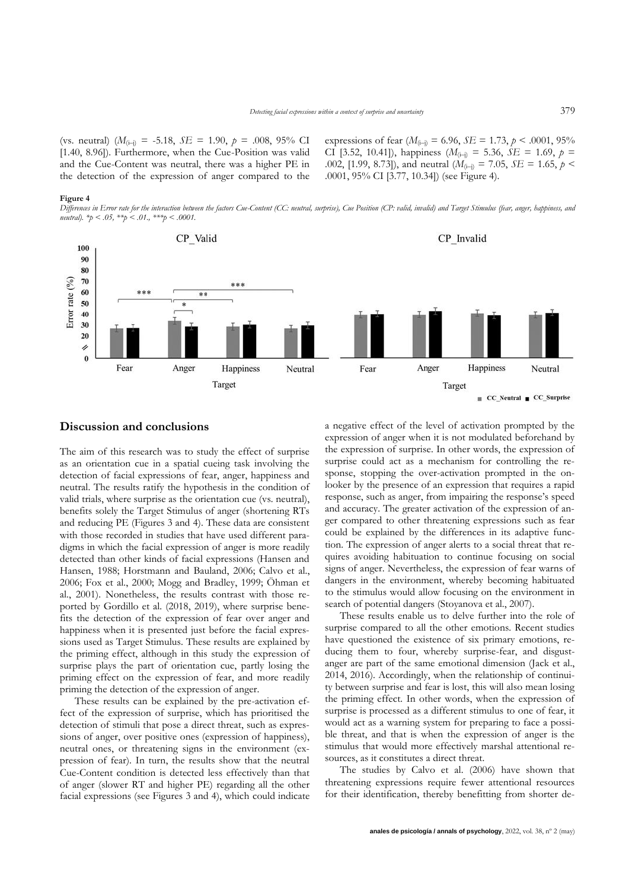(vs. neutral) (*M*(i–j) = -5.18, *SE* = 1.90, *p* = .008, 95% CI [1.40, 8.96]). Furthermore, when the Cue-Position was valid and the Cue-Content was neutral, there was a higher PE in the detection of the expression of anger compared to the expressions of fear  $(M_{(i-j)} = 6.96, SE = 1.73, p \le .0001, 95\%$ CI [3.52, 10.41]), happiness ( $M_{(i-j)} = 5.36$ ,  $SE = 1.69$ ,  $p =$ .002, [1.99, 8.73]), and neutral ( $M_{(i-j)} = 7.05$ ,  $SE = 1.65$ ,  $p <$ .0001, 95% CI [3.77, 10.34]) (see Figure 4).

#### **Figure 4**

*Differences in Error rate for the interaction between the factors Cue-Content (CC: neutral, surprise), Cue Position (CP: valid, invalid) and Target Stimulus (fear, anger, happiness, and neutral*).  $*_p < .05$ ,  $**_p < .01$ .,  $***_p < .0001$ .



# **Discussion and conclusions**

The aim of this research was to study the effect of surprise as an orientation cue in a spatial cueing task involving the detection of facial expressions of fear, anger, happiness and neutral. The results ratify the hypothesis in the condition of valid trials, where surprise as the orientation cue (vs. neutral), benefits solely the Target Stimulus of anger (shortening RTs and reducing PE (Figures 3 and 4). These data are consistent with those recorded in studies that have used different paradigms in which the facial expression of anger is more readily detected than other kinds of facial expressions (Hansen and Hansen, 1988; Horstmann and Bauland, 2006; Calvo et al., 2006; Fox et al., 2000; Mogg and Bradley, 1999; Öhman et al., 2001). Nonetheless, the results contrast with those reported by Gordillo et al. (2018, 2019), where surprise benefits the detection of the expression of fear over anger and happiness when it is presented just before the facial expressions used as Target Stimulus. These results are explained by the priming effect, although in this study the expression of surprise plays the part of orientation cue, partly losing the priming effect on the expression of fear, and more readily priming the detection of the expression of anger.

These results can be explained by the pre-activation effect of the expression of surprise, which has prioritised the detection of stimuli that pose a direct threat, such as expressions of anger, over positive ones (expression of happiness), neutral ones, or threatening signs in the environment (expression of fear). In turn, the results show that the neutral Cue-Content condition is detected less effectively than that of anger (slower RT and higher PE) regarding all the other facial expressions (see Figures 3 and 4), which could indicate

a negative effect of the level of activation prompted by the expression of anger when it is not modulated beforehand by the expression of surprise. In other words, the expression of surprise could act as a mechanism for controlling the response, stopping the over-activation prompted in the onlooker by the presence of an expression that requires a rapid response, such as anger, from impairing the response's speed and accuracy. The greater activation of the expression of anger compared to other threatening expressions such as fear could be explained by the differences in its adaptive function. The expression of anger alerts to a social threat that requires avoiding habituation to continue focusing on social signs of anger. Nevertheless, the expression of fear warns of dangers in the environment, whereby becoming habituated to the stimulus would allow focusing on the environment in search of potential dangers (Stoyanova et al., 2007).

These results enable us to delve further into the role of surprise compared to all the other emotions. Recent studies have questioned the existence of six primary emotions, reducing them to four, whereby surprise-fear, and disgustanger are part of the same emotional dimension (Jack et al., 2014, 2016). Accordingly, when the relationship of continuity between surprise and fear is lost, this will also mean losing the priming effect. In other words, when the expression of surprise is processed as a different stimulus to one of fear, it would act as a warning system for preparing to face a possible threat, and that is when the expression of anger is the stimulus that would more effectively marshal attentional resources, as it constitutes a direct threat.

The studies by Calvo et al. (2006) have shown that threatening expressions require fewer attentional resources for their identification, thereby benefitting from shorter de-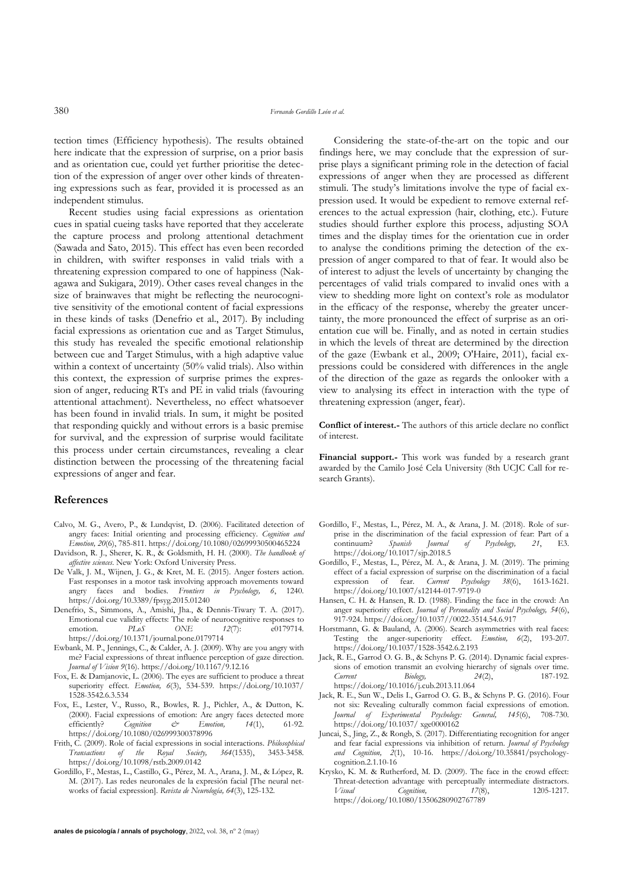tection times (Efficiency hypothesis). The results obtained here indicate that the expression of surprise, on a prior basis and as orientation cue, could yet further prioritise the detection of the expression of anger over other kinds of threatening expressions such as fear, provided it is processed as an independent stimulus.

Recent studies using facial expressions as orientation cues in spatial cueing tasks have reported that they accelerate the capture process and prolong attentional detachment (Sawada and Sato, 2015). This effect has even been recorded in children, with swifter responses in valid trials with a threatening expression compared to one of happiness (Nakagawa and Sukigara, 2019). Other cases reveal changes in the size of brainwaves that might be reflecting the neurocognitive sensitivity of the emotional content of facial expressions in these kinds of tasks (Denefrio et al., 2017). By including facial expressions as orientation cue and as Target Stimulus, this study has revealed the specific emotional relationship between cue and Target Stimulus, with a high adaptive value within a context of uncertainty (50% valid trials). Also within this context, the expression of surprise primes the expression of anger, reducing RTs and PE in valid trials (favouring attentional attachment). Nevertheless, no effect whatsoever has been found in invalid trials. In sum, it might be posited that responding quickly and without errors is a basic premise for survival, and the expression of surprise would facilitate this process under certain circumstances, revealing a clear distinction between the processing of the threatening facial expressions of anger and fear.

## **References**

- Calvo, M. G., Avero, P., & Lundqvist, D. (2006). Facilitated detection of angry faces: Initial orienting and processing efficiency. *Cognition and Emotion, 20*(6), 785-811.<https://doi.org/10.1080/02699930500465224>
- Davidson, R. J., Sherer, K. R., & Goldsmith, H. H. (2000). *The handbook of affective sciences*. New York: Oxford University Press.
- De Valk, J. M., Wijnen, J. G., & Kret, M. E. (2015). Anger fosters action. Fast responses in a motor task involving approach movements toward angry faces and bodies. *Frontiers in Psychology, 6*, 1240. <https://doi.org/10.3389/fpsyg.2015.01240>
- Denefrio, S., Simmons, A., Amishi, Jha., & Dennis-Tiwary T. A. (2017). Emotional cue validity effects: The role of neurocognitive responses to emotion.  $PL\&\Delta S$   $ONE$   $12(7)$ :  $e0179714$ . emotion[.](https://doi.org/10.1371/journal.pone.0179714) *PLoS* ONE 12(7): e0179714. <https://doi.org/10.1371/journal.pone.0179714>
- Ewbank, M. P., Jennings, C., & Calder, A. J. (2009). Why are you angry with me? Facial expressions of threat influence perception of gaze direction. *Journal of Vision 9*(16).<https://doi.org/10.1167/9.12.16>
- Fox, E. & Damjanovic, L. (2006). The eyes are sufficient to produce a threat superiority effect. *Emotion, 6*(3), 534-539. https://doi.org/10.1037/ 1528-3542.6.3.534
- Fox, E., Lester, V., Russo, R., Bowles, R. J., Pichler, A., & Dutton, K. (2000). Facial expressions of emotion: Are angry faces detected more efficiently? Comition  $\phi$  Emotion. 14(1). 61-92. efficiently? *Cognition & Emotion, 14*(1), 61-92. <https://doi.org/10.1080/026999300378996>
- Frith, C. (2009). Role of facial expressions in social interactions. *Philosophical Transactions of the Royal Society, 364*(1535), 3453-3458. <https://doi.org/10.1098/rstb.2009.0142>
- Gordillo, F., Mestas, L., Castillo, G., Pérez, M. A., Arana, J. M., & López, R. M. (2017). Las redes neuronales de la expresión facial [The neural networks of facial expression]. *Revista de Neurología, 64*(3), 125-132.

**anales de psicología / annals of psychology**, 2022, vol. 38, nº 2 (may)

Considering the state-of-the-art on the topic and our findings here, we may conclude that the expression of surprise plays a significant priming role in the detection of facial expressions of anger when they are processed as different stimuli. The study's limitations involve the type of facial expression used. It would be expedient to remove external references to the actual expression (hair, clothing, etc.). Future studies should further explore this process, adjusting SOA times and the display times for the orientation cue in order to analyse the conditions priming the detection of the expression of anger compared to that of fear. It would also be of interest to adjust the levels of uncertainty by changing the percentages of valid trials compared to invalid ones with a view to shedding more light on context's role as modulator in the efficacy of the response, whereby the greater uncertainty, the more pronounced the effect of surprise as an orientation cue will be. Finally, and as noted in certain studies in which the levels of threat are determined by the direction of the gaze (Ewbank et al., 2009; O'Haire, 2011), facial expressions could be considered with differences in the angle of the direction of the gaze as regards the onlooker with a view to analysing its effect in interaction with the type of threatening expression (anger, fear).

**Conflict of interest.-** The authors of this article declare no conflict of interest.

**Financial support.-** This work was funded by a research grant awarded by the Camilo José Cela University (8th UCJC Call for research Grants).

- Gordillo, F., Mestas, L., Pérez, M. A., & Arana, J. M. (2018). Role of surprise in the discrimination of the facial expression of fear: Part of a continuum? *Spanish Journal of Psychology, 21*, E3. <https://doi.org/10.1017/sjp.2018.5>
- Gordillo, F., Mestas, L., Pérez, M. A., & Arana, J. M. (2019). The priming effect of a facial expression of surprise on the discrimination of a facial expression of fear. *Current Psychology*  $38(6)$ , 1613-1621. expression of fear. *Current Psychology 38*(6), 1613-1621. <https://doi.org/10.1007/s12144-017-9719-0>
- Hansen, C. H. & Hansen, R. D. (1988). Finding the face in the crowd: An anger superiority effect. *Journal of Personality and Social Psychology, 54*(6), 917-924. [https://doi.org/10.1037//0022-3514.54.6.917](https://doi.org/10.1037/0022-3514.54.6.917)
- Horstmann, G. & Bauland, A. (2006). Search asymmetries with real faces: Testing the anger-superiority effect. *Emotion, 6*(2), 193-207. <https://doi.org/10.1037/1528-3542.6.2.193>
- Jack, R. E., Garrod O. G. B., & Schyns P. G. (2014). Dynamic facial expressions of emotion transmit an evolving hierarchy of signals over time.<br>Current Biology. 24(2). 187-192. *Current Biology,* 24(2), <https://doi.org/10.1016/j.cub.2013.11.064>
- Jack, R. E., Sun W., Delis I., Garrod O. G. B., & Schyns P. G. (2016). Four not six: Revealing culturally common facial expressions of emotion. *Journal of Experimental Psychology: General, 145*(6), 708-730. https://doi.org/10.1037/ xge0000162
- Juncai, S., Jing, Z., & Rongb, S. (2017). Differentiating recognition for anger and fear facial expressions via inhibition of return. *Journal of Psychology and Cognition, 2*(1), 10-16. [https://doi.org/10.35841/psychology](https://doi.org/10.35841/psychology-cognition.2.1.10-16)[cognition.2.1.10-16](https://doi.org/10.35841/psychology-cognition.2.1.10-16)
- Krysko, K. M. & Rutherford, M. D. (2009). The face in the crowd effect: Threat-detection advantage with perceptually intermediate distractors.<br>  $Visual \n Cognition, 1205-1217.$ *Visual Cognition,*  $17(8)$ , 1205-1217. <https://doi.org/10.1080/13506280902767789>